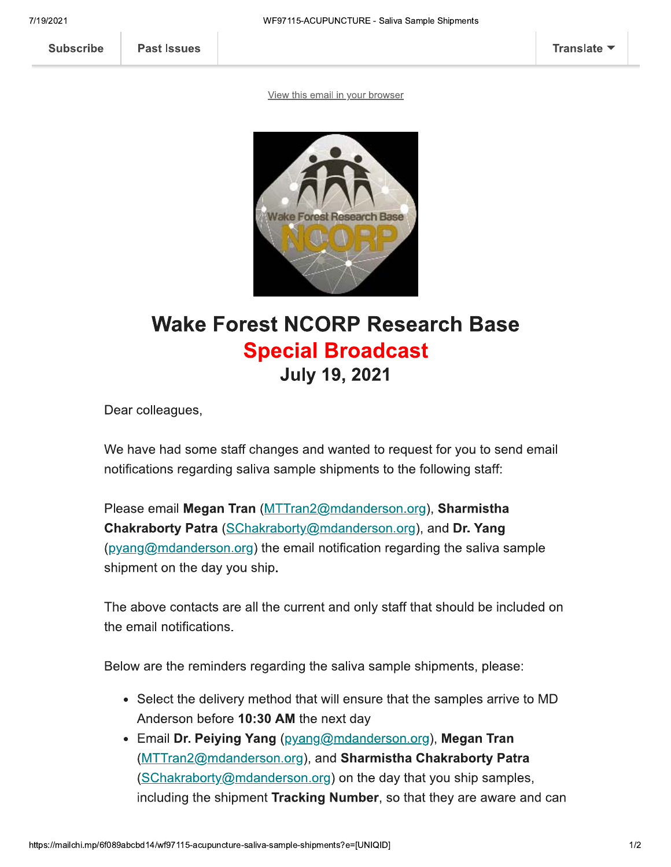View this email in your browser



## **Wake Forest NCORP Research Base Special Broadcast July 19, 2021**

Dear colleagues,

We have had some staff changes and wanted to request for you to send email notifications regarding saliva sample shipments to the following staff:

Please email Megan Tran (MTTran2@mdanderson.org), Sharmistha Chakraborty Patra (SChakraborty@mdanderson.org), and Dr. Yang (pyang@mdanderson.org) the email notification regarding the saliva sample shipment on the day you ship.

The above contacts are all the current and only staff that should be included on the email notifications.

Below are the reminders regarding the saliva sample shipments, please:

- Select the delivery method that will ensure that the samples arrive to MD Anderson before 10:30 AM the next day
- Email Dr. Peiying Yang (pyang@mdanderson.org), Megan Tran (MTTran2@mdanderson.org), and Sharmistha Chakraborty Patra (SChakraborty@mdanderson.org) on the day that you ship samples, including the shipment Tracking Number, so that they are aware and can